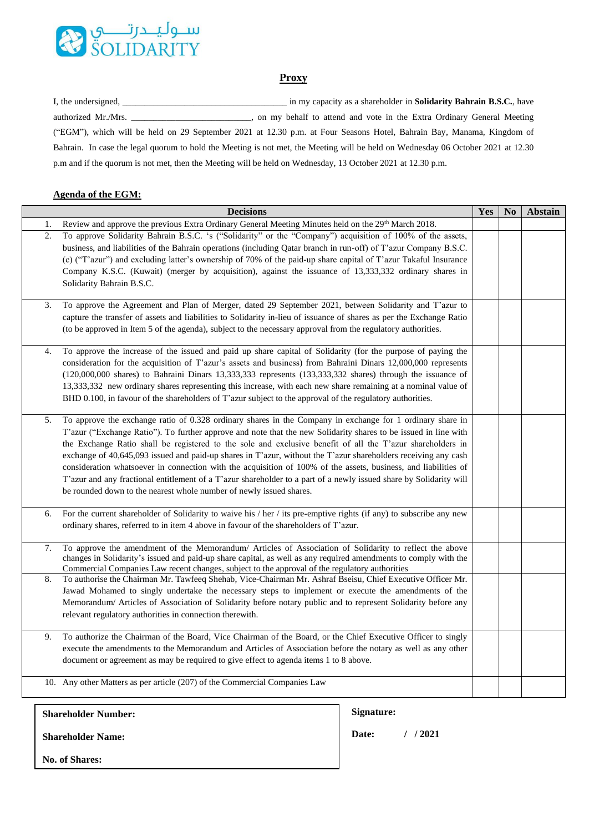

## **Proxy**

| I, the undersigned,                                                                                         | in my capacity as a shareholder in <b>Solidarity Bahrain B.S.C.</b> , have                                                       |
|-------------------------------------------------------------------------------------------------------------|----------------------------------------------------------------------------------------------------------------------------------|
| authorized Mr./Mrs.                                                                                         | , on my behalf to attend and vote in the Extra Ordinary General Meeting                                                          |
|                                                                                                             | ("EGM"), which will be held on 29 September 2021 at 12.30 p.m. at Four Seasons Hotel, Bahrain Bay, Manama, Kingdom of            |
|                                                                                                             | Bahrain. In case the legal quorum to hold the Meeting is not met, the Meeting will be held on Wednesday 06 October 2021 at 12.30 |
| p.m and if the quorum is not met, then the Meeting will be held on Wednesday, 13 October 2021 at 12.30 p.m. |                                                                                                                                  |

## **Agenda of the EGM:**

<span id="page-0-0"></span>

| <b>Decisions</b> |                                                                                                                                                                                                                                       | Yes | No | <b>Abstain</b> |
|------------------|---------------------------------------------------------------------------------------------------------------------------------------------------------------------------------------------------------------------------------------|-----|----|----------------|
| 1.               | Review and approve the previous Extra Ordinary General Meeting Minutes held on the 29 <sup>th</sup> March 2018.                                                                                                                       |     |    |                |
| 2.               | To approve Solidarity Bahrain B.S.C. 's ("Solidarity" or the "Company") acquisition of 100% of the assets,                                                                                                                            |     |    |                |
|                  | business, and liabilities of the Bahrain operations (including Qatar branch in run-off) of T'azur Company B.S.C.                                                                                                                      |     |    |                |
|                  | (c) ("T'azur") and excluding latter's ownership of 70% of the paid-up share capital of T'azur Takaful Insurance                                                                                                                       |     |    |                |
|                  | Company K.S.C. (Kuwait) (merger by acquisition), against the issuance of 13,333,332 ordinary shares in                                                                                                                                |     |    |                |
|                  | Solidarity Bahrain B.S.C.                                                                                                                                                                                                             |     |    |                |
|                  |                                                                                                                                                                                                                                       |     |    |                |
| 3.               | To approve the Agreement and Plan of Merger, dated 29 September 2021, between Solidarity and T'azur to<br>capture the transfer of assets and liabilities to Solidarity in-lieu of issuance of shares as per the Exchange Ratio        |     |    |                |
|                  | (to be approved in Item 5 of the agenda), subject to the necessary approval from the regulatory authorities.                                                                                                                          |     |    |                |
|                  |                                                                                                                                                                                                                                       |     |    |                |
| 4.               | To approve the increase of the issued and paid up share capital of Solidarity (for the purpose of paying the                                                                                                                          |     |    |                |
|                  | consideration for the acquisition of T'azur's assets and business) from Bahraini Dinars 12,000,000 represents                                                                                                                         |     |    |                |
|                  | (120,000,000 shares) to Bahraini Dinars 13,333,333 represents (133,333,332 shares) through the issuance of                                                                                                                            |     |    |                |
|                  | 13,333,332 new ordinary shares representing this increase, with each new share remaining at a nominal value of                                                                                                                        |     |    |                |
|                  | BHD 0.100, in favour of the shareholders of T'azur subject to the approval of the regulatory authorities.                                                                                                                             |     |    |                |
|                  |                                                                                                                                                                                                                                       |     |    |                |
| 5.               | To approve the exchange ratio of 0.328 ordinary shares in the Company in exchange for 1 ordinary share in                                                                                                                             |     |    |                |
|                  | T'azur ("Exchange Ratio"). To further approve and note that the new Solidarity shares to be issued in line with                                                                                                                       |     |    |                |
|                  | the Exchange Ratio shall be registered to the sole and exclusive benefit of all the T'azur shareholders in                                                                                                                            |     |    |                |
|                  | exchange of 40,645,093 issued and paid-up shares in T'azur, without the T'azur shareholders receiving any cash                                                                                                                        |     |    |                |
|                  | consideration whatsoever in connection with the acquisition of 100% of the assets, business, and liabilities of<br>T'azur and any fractional entitlement of a T'azur shareholder to a part of a newly issued share by Solidarity will |     |    |                |
|                  | be rounded down to the nearest whole number of newly issued shares.                                                                                                                                                                   |     |    |                |
|                  |                                                                                                                                                                                                                                       |     |    |                |
| 6.               | For the current shareholder of Solidarity to waive his / her / its pre-emptive rights (if any) to subscribe any new                                                                                                                   |     |    |                |
|                  | ordinary shares, referred to in item 4 above in favour of the shareholders of T'azur.                                                                                                                                                 |     |    |                |
|                  |                                                                                                                                                                                                                                       |     |    |                |
| 7.               | To approve the amendment of the Memorandum/ Articles of Association of Solidarity to reflect the above<br>changes in Solidarity's issued and paid-up share capital, as well as any required amendments to comply with the             |     |    |                |
|                  | Commercial Companies Law recent changes, subject to the approval of the regulatory authorities                                                                                                                                        |     |    |                |
| 8.               | To authorise the Chairman Mr. Tawfeeq Shehab, Vice-Chairman Mr. Ashraf Bseisu, Chief Executive Officer Mr.                                                                                                                            |     |    |                |
|                  | Jawad Mohamed to singly undertake the necessary steps to implement or execute the amendments of the                                                                                                                                   |     |    |                |
|                  | Memorandum/ Articles of Association of Solidarity before notary public and to represent Solidarity before any                                                                                                                         |     |    |                |
|                  | relevant regulatory authorities in connection therewith.                                                                                                                                                                              |     |    |                |
| 9.               | To authorize the Chairman of the Board, Vice Chairman of the Board, or the Chief Executive Officer to singly                                                                                                                          |     |    |                |
|                  | execute the amendments to the Memorandum and Articles of Association before the notary as well as any other                                                                                                                           |     |    |                |
|                  | document or agreement as may be required to give effect to agenda items 1 to 8 above.                                                                                                                                                 |     |    |                |
|                  |                                                                                                                                                                                                                                       |     |    |                |
|                  | 10. Any other Matters as per article (207) of the Commercial Companies Law                                                                                                                                                            |     |    |                |
|                  |                                                                                                                                                                                                                                       |     |    |                |

**Signature: Date: / / 2021 Shareholder Number: Shareholder Name: No. of Shares:**